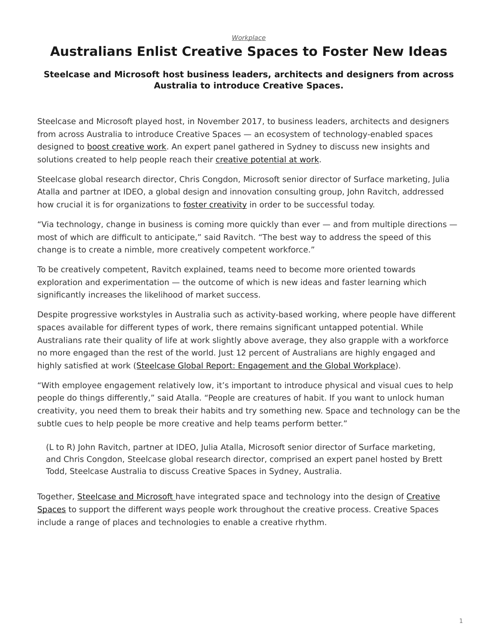## *[Workplace](https://www.steelcase.com/research/topics/workplace/)*

## <span id="page-0-0"></span>**Australians Enlist Creative Spaces to Foster New Ideas**

## **Steelcase and Microsoft host business leaders, architects and designers from across Australia to introduce Creative Spaces.**

Steelcase and Microsoft played host, in November 2017, to business leaders, architects and designers from across Australia to introduce Creative Spaces — an ecosystem of technology-enabled spaces designed to [boost creative work.](https://www.steelcase.com/research/articles/topics/creativity/creative-shift/) An expert panel gathered in Sydney to discuss new insights and solutions created to help people reach their [creative potential at work](https://www.steelcase.com/research/articles/topics/creativity/creative-shift/).

Steelcase global research director, Chris Congdon, Microsoft senior director of Surface marketing, Julia Atalla and partner at IDEO, a global design and innovation consulting group, John Ravitch, addressed how crucial it is for organizations to [foster creativity](https://www.steelcase.com/research/articles/topics/creativity/creative-shift/) in order to be successful today.

"Via technology, change in business is coming more quickly than ever — and from multiple directions most of which are difficult to anticipate," said Ravitch. "The best way to address the speed of this change is to create a nimble, more creatively competent workforce."

To be creatively competent, Ravitch explained, teams need to become more oriented towards exploration and experimentation — the outcome of which is new ideas and faster learning which significantly increases the likelihood of market success.

Despite progressive workstyles in Australia such as activity-based working, where people have different spaces available for different types of work, there remains significant untapped potential. While Australians rate their quality of life at work slightly above average, they also grapple with a workforce no more engaged than the rest of the world. Just 12 percent of Australians are highly engaged and highly satisfied at work ([Steelcase Global Report: Engagement and the Global Workplace](https://www.steelcase.com/steelcase-global-report/)).

"With employee engagement relatively low, it's important to introduce physical and visual cues to help people do things differently," said Atalla. "People are creatures of habit. If you want to unlock human creativity, you need them to break their habits and try something new. Space and technology can be the subtle cues to help people be more creative and help teams perform better."

(L to R) John Ravitch, partner at IDEO, Julia Atalla, Microsoft senior director of Surface marketing, and Chris Congdon, Steelcase global research director, comprised an expert panel hosted by Brett Todd, Steelcase Australia to discuss Creative Spaces in Sydney, Australia.

Together, [Steelcase and Microsoft](https://www.steelcase.com/microsoft-steelcase/) have integrated space and technology into the design of [Creative](https://www.steelcase.com/microsoft-steelcase/creativity/) [Spaces](https://www.steelcase.com/microsoft-steelcase/creativity/) to support the different ways people work throughout the creative process. Creative Spaces include a range of places and technologies to enable a creative rhythm.